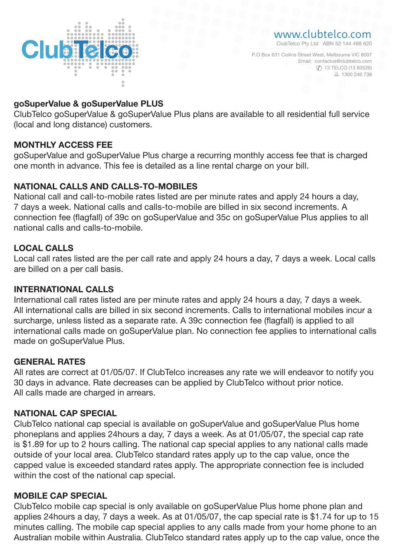

■ 1300 246 738 P.O Box 631 Collins Street West, Melbourne VIC 8007 **13 TELCO (13 83526)** Email: contactus@clubtelco.com

## goSuperValue & goSuperValue PLUS

ClubTelco goSuperValue & goSuperValue Plus plans are available to all residential full service (local and long distance) customers.

## MONTHLY ACCESS FEE

goSuperValue and goSuperValue Plus charge a recurring monthly access fee that is charged one month in advance. This fee is detailed as a line rental charge on your bill.

## NATIONAL CALLS AND CALLS-TO-MOBILES

National call and call-to-mobile rates listed are per minute rates and apply 24 hours a day, 7 days a week. National calls and calls-to-mobile are billed in six second increments. A connection fee (flagfall) of 39c on goSuperValue and 35c on goSuperValue Plus applies to all national calls and calls-to-mobile.

## LOCAL CALLS

Local call rates listed are the per call rate and apply 24 hours a day, 7 days a week. Local calls are billed on a per call basis.

#### INTERNATIONAL CALLS

International call rates listed are per minute rates and apply 24 hours a day, 7 days a week. All international calls are billed in six second increments. Calls to international mobiles incur a surcharge, unless listed as a separate rate. A 39c connection fee (flagfall) is applied to all international calls made on goSuperValue plan. No connection fee applies to international calls made on goSuperValue Plus.

#### GENERAL RATES

All rates are correct at 01/05/07. If ClubTelco increases any rate we will endeavor to notify you 30 days in advance. Rate decreases can be applied by ClubTelco without prior notice. All calls made are charged in arrears.

# NATIONAL CAP SPECIAL

ClubTelco national cap special is available on goSuperValue and goSuperValue Plus home phoneplans and applies 24hours a day, 7 days a week. As at 01/05/07, the special cap rate is \$1.89 for up to 2 hours calling. The national cap special applies to any national calls made outside of your local area. ClubTelco standard rates apply up to the cap value, once the capped value is exceeded standard rates apply. The appropriate connection fee is included within the cost of the national cap special.

# MOBILE CAP SPECIAL

ClubTelco mobile cap special is only available on goSuperValue Plus home phone plan and applies 24hours a day, 7 days a week. As at 01/05/07, the cap special rate is \$1.74 for up to 15 minutes calling. The mobile cap special applies to any calls made from your home phone to an Australian mobile within Australia. ClubTelco standard rates apply up to the cap value, once the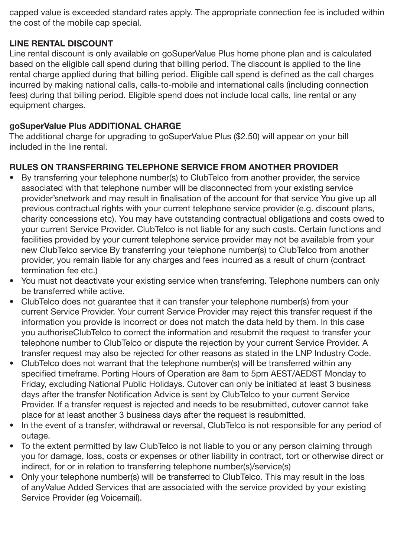capped value is exceeded standard rates apply. The appropriate connection fee is included within the cost of the mobile cap special.

# LINE RENTAL DISCOUNT

Line rental discount is only available on goSuperValue Plus home phone plan and is calculated based on the eligible call spend during that billing period. The discount is applied to the line rental charge applied during that billing period. Eligible call spend is defined as the call charges incurred by making national calls, calls-to-mobile and international calls (including connection fees) during that billing period. Eligible spend does not include local calls, line rental or any equipment charges.

# goSuperValue Plus ADDITIONAL CHARGE

The additional charge for upgrading to goSuperValue Plus (\$2.50) will appear on your bill included in the line rental.

# RULES ON TRANSFERRING TELEPHONE SERVICE FROM ANOTHER PROVIDER

- By transferring your telephone number(s) to ClubTelco from another provider, the service associated with that telephone number will be disconnected from your existing service provider'snetwork and may result in finalisation of the account for that service You give up all previous contractual rights with your current telephone service provider (e.g. discount plans, charity concessions etc). You may have outstanding contractual obligations and costs owed to your current Service Provider. ClubTelco is not liable for any such costs. Certain functions and facilities provided by your current telephone service provider may not be available from your new ClubTelco service By transferring your telephone number(s) to ClubTelco from another provider, you remain liable for any charges and fees incurred as a result of churn (contract termination fee etc.)
- You must not deactivate your existing service when transferring. Telephone numbers can only be transferred while active.
- ClubTelco does not guarantee that it can transfer your telephone number(s) from your current Service Provider. Your current Service Provider may reject this transfer request if the information you provide is incorrect or does not match the data held by them. In this case you authoriseClubTelco to correct the information and resubmit the request to transfer your telephone number to ClubTelco or dispute the rejection by your current Service Provider. A transfer request may also be rejected for other reasons as stated in the LNP Industry Code.
- ClubTelco does not warrant that the telephone number(s) will be transferred within any specified timeframe. Porting Hours of Operation are 8am to 5pm AEST/AEDST Monday to Friday, excluding National Public Holidays. Cutover can only be initiated at least 3 business days after the transfer Notification Advice is sent by ClubTelco to your current Service Provider. If a transfer request is rejected and needs to be resubmitted, cutover cannot take place for at least another 3 business days after the request is resubmitted.
- In the event of a transfer, withdrawal or reversal, ClubTelco is not responsible for any period of outage.
- To the extent permitted by law ClubTelco is not liable to you or any person claiming through you for damage, loss, costs or expenses or other liability in contract, tort or otherwise direct or indirect, for or in relation to transferring telephone number(s)/service(s)
- Only your telephone number(s) will be transferred to ClubTelco. This may result in the loss of anyValue Added Services that are associated with the service provided by your existing Service Provider (eg Voicemail).